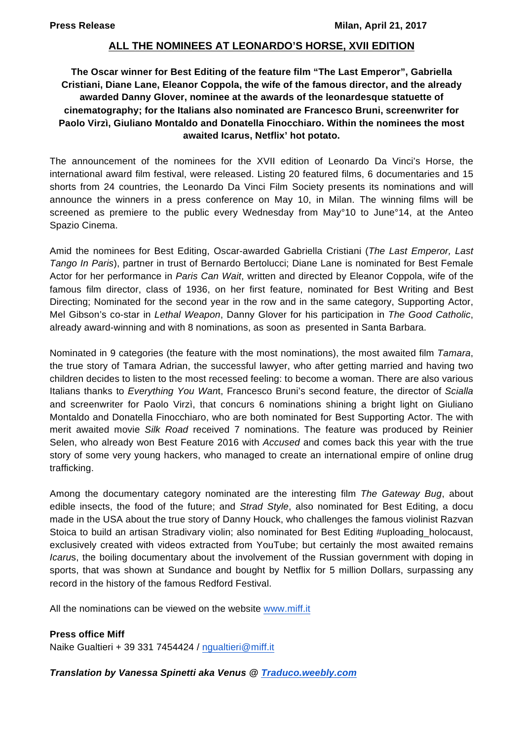# **ALL THE NOMINEES AT LEONARDO'S HORSE, XVII EDITION**

# **The Oscar winner for Best Editing of the feature film "The Last Emperor", Gabriella Cristiani, Diane Lane, Eleanor Coppola, the wife of the famous director, and the already awarded Danny Glover, nominee at the awards of the leonardesque statuette of cinematography; for the Italians also nominated are Francesco Bruni, screenwriter for Paolo Virzì, Giuliano Montaldo and Donatella Finocchiaro. Within the nominees the most awaited Icarus, Netflix' hot potato.**

The announcement of the nominees for the XVII edition of Leonardo Da Vinci's Horse, the international award film festival, were released. Listing 20 featured films, 6 documentaries and 15 shorts from 24 countries, the Leonardo Da Vinci Film Society presents its nominations and will announce the winners in a press conference on May 10, in Milan. The winning films will be screened as premiere to the public every Wednesday from May°10 to June°14, at the Anteo Spazio Cinema.

Amid the nominees for Best Editing, Oscar-awarded Gabriella Cristiani (*The Last Emperor, Last Tango In Paris*), partner in trust of Bernardo Bertolucci; Diane Lane is nominated for Best Female Actor for her performance in *Paris Can Wait*, written and directed by Eleanor Coppola, wife of the famous film director, class of 1936, on her first feature, nominated for Best Writing and Best Directing; Nominated for the second year in the row and in the same category, Supporting Actor, Mel Gibson's co-star in *Lethal Weapon*, Danny Glover for his participation in *The Good Catholic*, already award-winning and with 8 nominations, as soon as presented in Santa Barbara.

Nominated in 9 categories (the feature with the most nominations), the most awaited film *Tamara*, the true story of Tamara Adrian, the successful lawyer, who after getting married and having two children decides to listen to the most recessed feeling: to become a woman. There are also various Italians thanks to *Everything You Wan*t, Francesco Bruni's second feature, the director of *Scialla* and screenwriter for Paolo Virzì, that concurs 6 nominations shining a bright light on Giuliano Montaldo and Donatella Finocchiaro, who are both nominated for Best Supporting Actor. The with merit awaited movie *Silk Road* received 7 nominations. The feature was produced by Reinier Selen, who already won Best Feature 2016 with *Accused* and comes back this year with the true story of some very young hackers, who managed to create an international empire of online drug trafficking.

Among the documentary category nominated are the interesting film *The Gateway Bug*, about edible insects, the food of the future; and *Strad Style*, also nominated for Best Editing, a docu made in the USA about the true story of Danny Houck, who challenges the famous violinist Razvan Stoica to build an artisan Stradivary violin; also nominated for Best Editing #uploading\_holocaust, exclusively created with videos extracted from YouTube; but certainly the most awaited remains *Icaru*s, the boiling documentary about the involvement of the Russian government with doping in sports, that was shown at Sundance and bought by Netflix for 5 million Dollars, surpassing any record in the history of the famous Redford Festival.

All the nominations can be viewed on the website www.miff.it

# **Press office Miff**

Naike Gualtieri + 39 331 7454424 / ngualtieri@miff.it

# *Translation by Vanessa Spinetti aka Venus @ Traduco.weebly.com*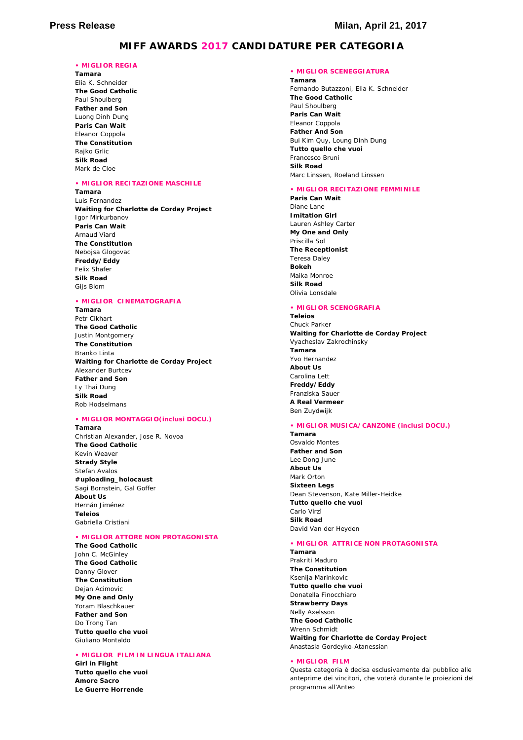### **MIFF AWARDS 2017 CANDIDATURE PER CATEGORIA**

#### **• MIGLIOR REGIA**

**Tamara**  Elia K. Schneider **The Good Catholic**  Paul Shoulberg **Father and Son**  Luong Dinh Dung **Paris Can Wait**  Eleanor Coppola **The Constitution**  Rajko Grlic **Silk Road**  Mark de Cloe

### **• MIGLIOR RECITAZIONE MASCHILE**

#### **Tamara**

Luis Fernandez **Waiting for Charlotte de Corday Project**  Igor Mirkurbanov **Paris Can Wait**  Arnaud Viard **The Constitution**  Nebojsa Glogovac **Freddy/Eddy**  Felix Shafer **Silk Road**  Gijs Blom

#### **• MIGLIOR CINEMATOGRAFIA**

**Tamara**  Petr Cikhart **The Good Catholic**  Justin Montgomery **The Constitution**  Branko Linta **Waiting for Charlotte de Corday Project**  Alexander Burtcev **Father and Son** Ly Thai Dung **Silk Road**  Rob Hodselmans

### **• MIGLIOR MONTAGGIO(inclusi DOCU.)**

**Tamara** Christian Alexander, Jose R. Novoa **The Good Catholic**  Kevin Weaver **Strady Style**  Stefan Avalos **#uploading\_holocaust**  Sagi Bornstein, Gal Goffer **About Us**  Hernán Jiménez **Teleios**  Gabriella Cristiani

#### **• MIGLIOR ATTORE NON PROTAGONISTA**

**The Good Catholic**  John C. McGinley **The Good Catholic**  Danny Glover **The Constitution**  Dejan Acimovic **My One and Only**  Yoram Blaschkauer **Father and Son**  Do Trong Tan **Tutto quello che vuoi**  Giuliano Montaldo

#### **• MIGLIOR FILM IN LINGUA ITALIANA**

**Girl in Flight Tutto quello che vuoi Amore Sacro Le Guerre Horrende** 

### **• MIGLIOR SCENEGGIATURA**

**Tamara**  Fernando Butazzoni, Elia K. Schneider **The Good Catholic**  Paul Shoulberg **Paris Can Wait**  Eleanor Coppola **Father And Son**  Bui Kim Quy, Loung Dinh Dung **Tutto quello che vuoi**  Francesco Bruni **Silk Road**  Marc Linssen, Roeland Linssen

#### **• MIGLIOR RECITAZIONE FEMMINILE**

**Paris Can Wait**  Diane Lane **Imitation Girl**  Lauren Ashley Carter **My One and Only**  Priscilla Sol **The Receptionist**  Teresa Daley **Bokeh**  Maika Monroe **Silk Road**  Olivia Lonsdale

#### **• MIGLIOR SCENOGRAFIA**

### **Teleios**

Chuck Parker **Waiting for Charlotte de Corday Project**  Vyacheslav Zakrochinsky **Tamara**  Yvo Hernandez **About Us**  Carolina Lett **Freddy/Eddy**  Franziska Sauer **A Real Vermeer**  Ben Zuydwijk

#### **• MIGLIOR MUSICA/CANZONE (inclusi DOCU.)**

**Tamara**  Osvaldo Montes **Father and Son**  Lee Dong June **About Us**  Mark Orton **Sixteen Legs**  Dean Stevenson, Kate Miller-Heidke **Tutto quello che vuoi**  Carlo Virzì **Silk Road**  David Van der Heyden

#### **• MIGLIOR ATTRICE NON PROTAGONISTA**

**Tamara**  Prakriti Maduro **The Constitution**  Ksenija Marinkovic **Tutto quello che vuoi**  Donatella Finocchiaro **Strawberry Days**  Nelly Axelsson **The Good Catholic**  Wrenn Schmidt **Waiting for Charlotte de Corday Project**  Anastasia Gordeyko-Atanessian

#### **• MIGLIOR FILM**

Questa categoria è decisa esclusivamente dal pubblico alle anteprime dei vincitori, che voterà durante le proiezioni del programma all'Anteo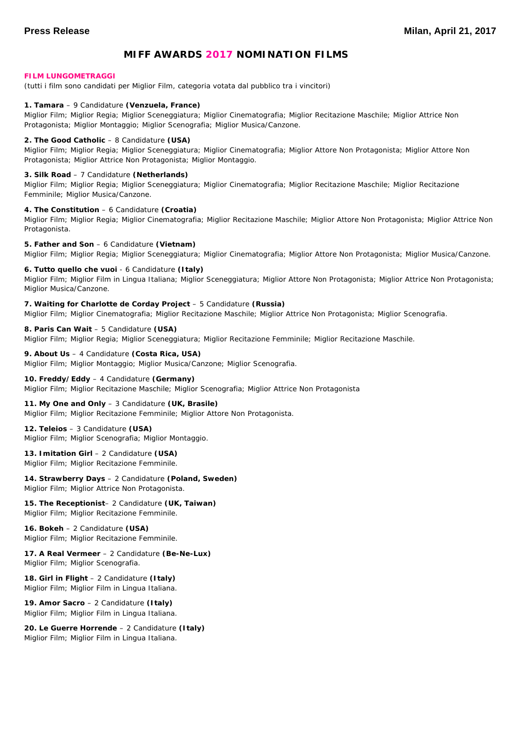# **MIFF AWARDS 2017 NOMINATION FILMS**

#### **FILM LUNGOMETRAGGI**

(tutti i film sono candidati per Miglior Film, categoria votata dal pubblico tra i vincitori)

#### **1. Tamara** – 9 Candidature **(Venzuela, France)**

Miglior Film; Miglior Regia; Miglior Sceneggiatura; Miglior Cinematografia; Miglior Recitazione Maschile; Miglior Attrice Non Protagonista; Miglior Montaggio; Miglior Scenografia; Miglior Musica/Canzone.

#### **2. The Good Catholic** – 8 Candidature **(USA)**

Miglior Film; Miglior Regia; Miglior Sceneggiatura; Miglior Cinematografia; Miglior Attore Non Protagonista; Miglior Attore Non Protagonista; Miglior Attrice Non Protagonista; Miglior Montaggio.

#### **3. Silk Road** – 7 Candidature **(Netherlands)**

Miglior Film; Miglior Regia; Miglior Sceneggiatura; Miglior Cinematografia; Miglior Recitazione Maschile; Miglior Recitazione Femminile; Miglior Musica/Canzone.

#### **4. The Constitution** – 6 Candidature **(Croatia)**

Miglior Film; Miglior Regia; Miglior Cinematografia; Miglior Recitazione Maschile; Miglior Attore Non Protagonista; Miglior Attrice Non Protagonista.

#### **5. Father and Son** – 6 Candidature **(Vietnam)** Miglior Film; Miglior Regia; Miglior Sceneggiatura; Miglior Cinematografia; Miglior Attore Non Protagonista; Miglior Musica/Canzone.

#### **6. Tutto quello che vuoi** - 6 Candidature **(Italy)**

Miglior Film; Miglior Film in Lingua Italiana; Miglior Sceneggiatura; Miglior Attore Non Protagonista; Miglior Attrice Non Protagonista; Miglior Musica/Canzone.

### **7. Waiting for Charlotte de Corday Project** – 5 Candidature **(Russia)**

Miglior Film; Miglior Cinematografia; Miglior Recitazione Maschile; Miglior Attrice Non Protagonista; Miglior Scenografia.

#### **8. Paris Can Wait** – 5 Candidature **(USA)**

Miglior Film; Miglior Regia; Miglior Sceneggiatura; Miglior Recitazione Femminile; Miglior Recitazione Maschile.

# **9. About Us** – 4 Candidature **(Costa Rica, USA)**

Miglior Film; Miglior Montaggio; Miglior Musica/Canzone; Miglior Scenografia.

### **10. Freddy/Eddy** – 4 Candidature **(Germany)**

Miglior Film; Miglior Recitazione Maschile; Miglior Scenografia; Miglior Attrice Non Protagonista

#### **11. My One and Only** – 3 Candidature **(UK, Brasile)**

Miglior Film; Miglior Recitazione Femminile; Miglior Attore Non Protagonista.

#### **12. Teleios** – 3 Candidature **(USA)** Miglior Film; Miglior Scenografia; Miglior Montaggio.

**13. Imitation Girl** – 2 Candidature **(USA)** Miglior Film; Miglior Recitazione Femminile.

# **14. Strawberry Days** – 2 Candidature **(Poland, Sweden)**

Miglior Film; Miglior Attrice Non Protagonista.

#### **15. The Receptionist**– 2 Candidature **(UK, Taiwan)** Miglior Film; Miglior Recitazione Femminile.

#### **16. Bokeh** – 2 Candidature **(USA)** Miglior Film; Miglior Recitazione Femminile.

#### **17. A Real Vermeer** – 2 Candidature **(Be-Ne-Lux)** Miglior Film; Miglior Scenografia.

**18. Girl in Flight** – 2 Candidature **(Italy)** Miglior Film; Miglior Film in Lingua Italiana.

#### **19. Amor Sacro** – 2 Candidature **(Italy)** Miglior Film; Miglior Film in Lingua Italiana.

**20. Le Guerre Horrende** – 2 Candidature **(Italy)** Miglior Film; Miglior Film in Lingua Italiana.